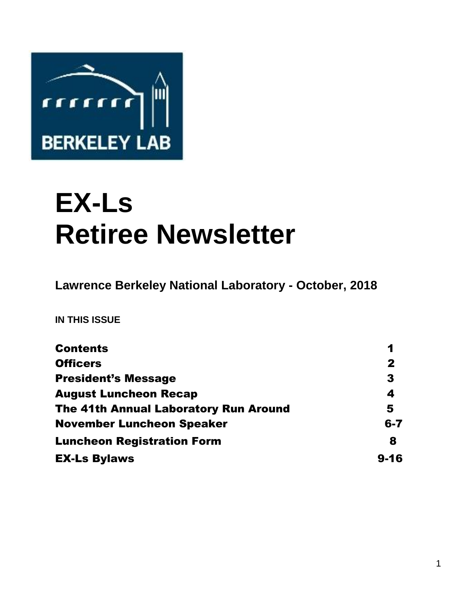

# **EX-Ls Retiree Newsletter**

**Lawrence Berkeley National Laboratory - October, 2018** 

**IN THIS ISSUE** 

| <b>Contents</b>                              | 1           |
|----------------------------------------------|-------------|
| <b>Officers</b>                              | $\mathbf 2$ |
| <b>President's Message</b>                   | 3           |
| <b>August Luncheon Recap</b>                 | 4           |
| <b>The 41th Annual Laboratory Run Around</b> | 5           |
| <b>November Luncheon Speaker</b>             | $6 - 7$     |
| <b>Luncheon Registration Form</b>            | 8           |
| <b>EX-Ls Bylaws</b>                          | $9 - 16$    |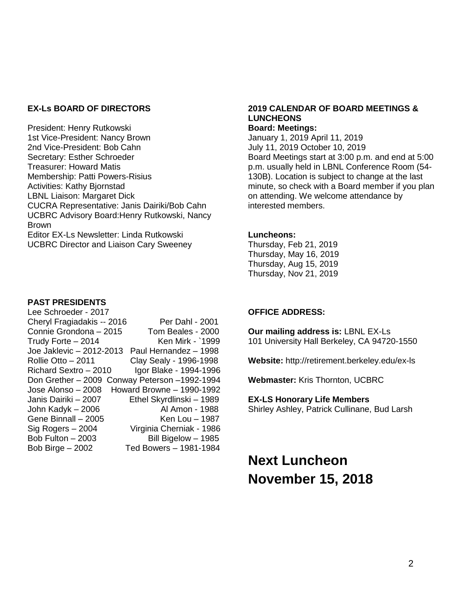#### **EX-Ls BOARD OF DIRECTORS**

President: Henry Rutkowski 1st Vice-President: Nancy Brown 2nd Vice-President: Bob Cahn Secretary: Esther Schroeder Treasurer: Howard Matis Membership: Patti Powers-Risius Activities: Kathy Bjornstad LBNL Liaison: Margaret Dick CUCRA Representative: Janis Dairiki/Bob Cahn UCBRC Advisory Board:Henry Rutkowski, Nancy Brown Editor EX-Ls Newsletter: Linda Rutkowski UCBRC Director and Liaison Cary Sweeney

#### **PAST PRESIDENTS**

| Lee Schroeder - 2017       |                            |
|----------------------------|----------------------------|
| Cheryl Fragiadakis -- 2016 | Per Dahl - 2001            |
| Connie Grondona - 2015     | Tom Beales - 2000          |
| Trudy Forte - 2014         | Ken Mirk - `1999           |
| Joe Jaklevic - 2012-2013   | Paul Hernandez - 1998      |
| Rollie Otto - 2011         | Clay Sealy - 1996-1998     |
| Richard Sextro - 2010      | Igor Blake - 1994-1996     |
| Don Grether - 2009         | Conway Peterson -1992-1994 |
| Jose Alonso - 2008         | Howard Browne - 1990-1992  |
| Janis Dairiki - 2007       | Ethel Skyrdlinski - 1989   |
| John Kadyk - 2006          | Al Amon - 1988             |
| Gene Binnall - 2005        | Ken Lou - 1987             |
| Sig Rogers - 2004          | Virginia Cherniak - 1986   |
| Bob Fulton - 2003          | Bill Bigelow - 1985        |
| Bob Birge $-2002$          | Ted Bowers - 1981-1984     |

#### **2019 CALENDAR OF BOARD MEETINGS & LUNCHEONS Board: Meetings:**

January 1, 2019 April 11, 2019 July 11, 2019 October 10, 2019 Board Meetings start at 3:00 p.m. and end at 5:00 p.m. usually held in LBNL Conference Room (54- 130B). Location is subject to change at the last minute, so check with a Board member if you plan on attending. We welcome attendance by interested members.

#### **Luncheons:**

Thursday, Feb 21, 2019 Thursday, May 16, 2019 Thursday, Aug 15, 2019 Thursday, Nov 21, 2019

#### **OFFICE ADDRESS:**

**Our mailing address is:** LBNL EX-Ls 101 University Hall Berkeley, CA 94720-1550

**Website:** http://retirement.berkeley.edu/ex-ls

**Webmaster:** Kris Thornton, UCBRC

**EX-LS Honorary Life Members** 

Shirley Ashley, Patrick Cullinane, Bud Larsh

**Next Luncheon November 15, 2018**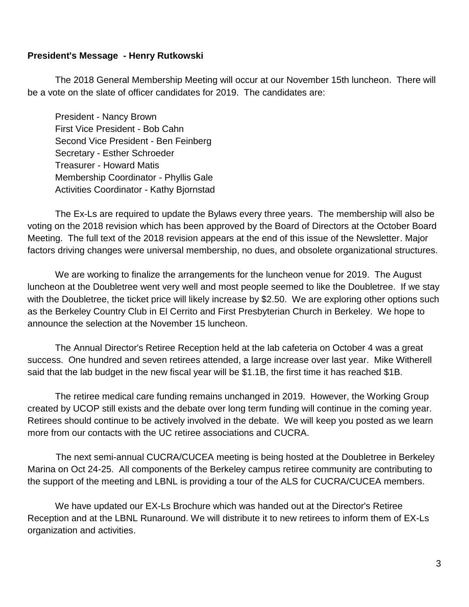#### **President's Message - Henry Rutkowski**

The 2018 General Membership Meeting will occur at our November 15th luncheon. There will be a vote on the slate of officer candidates for 2019. The candidates are:

President - Nancy Brown First Vice President - Bob Cahn Second Vice President - Ben Feinberg Secretary - Esther Schroeder Treasurer - Howard Matis Membership Coordinator - Phyllis Gale Activities Coordinator - Kathy Bjornstad

The Ex-Ls are required to update the Bylaws every three years. The membership will also be voting on the 2018 revision which has been approved by the Board of Directors at the October Board Meeting. The full text of the 2018 revision appears at the end of this issue of the Newsletter. Major factors driving changes were universal membership, no dues, and obsolete organizational structures.

We are working to finalize the arrangements for the luncheon venue for 2019. The August luncheon at the Doubletree went very well and most people seemed to like the Doubletree. If we stay with the Doubletree, the ticket price will likely increase by \$2.50. We are exploring other options such as the Berkeley Country Club in El Cerrito and First Presbyterian Church in Berkeley. We hope to announce the selection at the November 15 luncheon.

The Annual Director's Retiree Reception held at the lab cafeteria on October 4 was a great success. One hundred and seven retirees attended, a large increase over last year. Mike Witherell said that the lab budget in the new fiscal year will be \$1.1B, the first time it has reached \$1B.

The retiree medical care funding remains unchanged in 2019. However, the Working Group created by UCOP still exists and the debate over long term funding will continue in the coming year. Retirees should continue to be actively involved in the debate. We will keep you posted as we learn more from our contacts with the UC retiree associations and CUCRA.

 The next semi-annual CUCRA/CUCEA meeting is being hosted at the Doubletree in Berkeley Marina on Oct 24-25. All components of the Berkeley campus retiree community are contributing to the support of the meeting and LBNL is providing a tour of the ALS for CUCRA/CUCEA members.

We have updated our EX-Ls Brochure which was handed out at the Director's Retiree Reception and at the LBNL Runaround. We will distribute it to new retirees to inform them of EX-Ls organization and activities.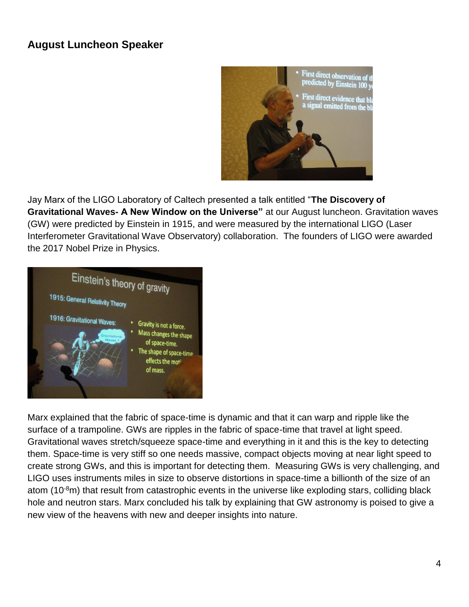# **August Luncheon Speaker**



Jay Marx of the LIGO Laboratory of Caltech presented a talk entitled "**The Discovery of Gravitational Waves- A New Window on the Universe"** at our August luncheon. Gravitation waves (GW) were predicted by Einstein in 1915, and were measured by the international LIGO (Laser Interferometer Gravitational Wave Observatory) collaboration. The founders of LIGO were awarded the 2017 Nobel Prize in Physics.



Marx explained that the fabric of space-time is dynamic and that it can warp and ripple like the surface of a trampoline. GWs are ripples in the fabric of space-time that travel at light speed. Gravitational waves stretch/squeeze space-time and everything in it and this is the key to detecting them. Space-time is very stiff so one needs massive, compact objects moving at near light speed to create strong GWs, and this is important for detecting them. Measuring GWs is very challenging, and LIGO uses instruments miles in size to observe distortions in space-time a billionth of the size of an atom (10 $\textdegree$ m) that result from catastrophic events in the universe like exploding stars, colliding black hole and neutron stars. Marx concluded his talk by explaining that GW astronomy is poised to give a new view of the heavens with new and deeper insights into nature.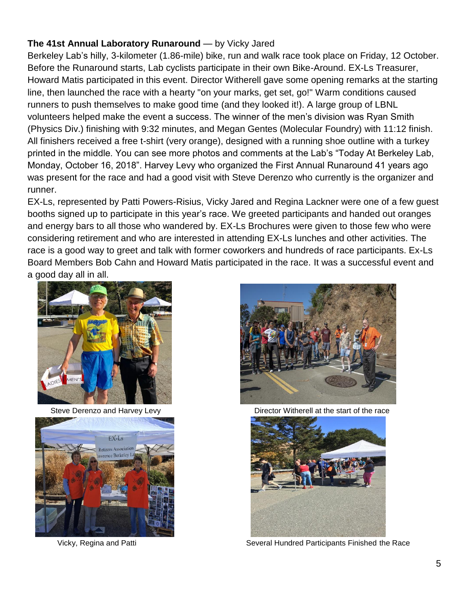# **The 41st Annual Laboratory Runaround** — by Vicky Jared

Berkeley Lab's hilly, 3-kilometer (1.86-mile) bike, run and walk race took place on Friday, 12 October. Before the Runaround starts, Lab cyclists participate in their own Bike-Around. EX-Ls Treasurer, Howard Matis participated in this event. Director Witherell gave some opening remarks at the starting line, then launched the race with a hearty "on your marks, get set, go!" Warm conditions caused runners to push themselves to make good time (and they looked it!). A large group of LBNL volunteers helped make the event a success. The winner of the men's division was Ryan Smith (Physics Div.) finishing with 9:32 minutes, and Megan Gentes (Molecular Foundry) with 11:12 finish. All finishers received a free t-shirt (very orange), designed with a running shoe outline with a turkey printed in the middle. You can see more photos and comments at the Lab's "Today At Berkeley Lab, Monday, October 16, 2018". Harvey Levy who organized the First Annual Runaround 41 years ago was present for the race and had a good visit with Steve Derenzo who currently is the organizer and runner.

EX-Ls, represented by Patti Powers-Risius, Vicky Jared and Regina Lackner were one of a few guest booths signed up to participate in this year's race. We greeted participants and handed out oranges and energy bars to all those who wandered by. EX-Ls Brochures were given to those few who were considering retirement and who are interested in attending EX-Ls lunches and other activities. The race is a good way to greet and talk with former coworkers and hundreds of race participants. Ex-Ls Board Members Bob Cahn and Howard Matis participated in the race. It was a successful event and a good day all in all.







Steve Derenzo and Harvey Levy Director Witherell at the start of the race



Vicky, Regina and Patti Several Hundred Participants Finished the Race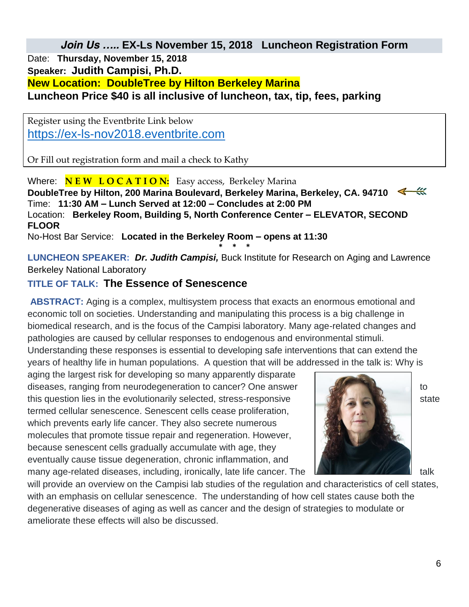*Join Us ….. EX-Ls November 15, 2018 Luncheon Registration Form Date:* **Thursday, November 15, 2018** *Speaker: Judith Campisi, Ph.D. New Location: DoubleTree by Hilton Berkeley Marina Luncheon Price \$40 is all inclusive of luncheon, tax, tip, fees, parking*

Register using the Eventbrite Link below [https://ex-ls-nov2018.eventbrite.com](https://ex-ls-nov2018.eventbrite.com/)

Or Fill out registration form and mail a check to Kathy

*Where:* **N E W L O C A T I O N:** Easy access, Berkeley Marina **DoubleTree by Hilton, 200 Marina Boulevard, Berkeley Marina, Berkeley, CA. 94710**  *Time:* **11:30 AM – Lunch Served at 12:00 – Concludes at 2:00 PM** *Location:* **Berkeley Room, Building 5, North Conference Center – ELEVATOR, SECOND FLOOR** 

*No-Host Bar Service:* **Located in the Berkeley Room – opens at 11:30**

**\* \* \* LUNCHEON SPEAKER:** *Dr. Judith Campisi,* Buck Institute for Research on Aging and Lawrence Berkeley National Laboratory

# **TITLE OF TALK: The Essence of Senescence**

**ABSTRACT:** Aging is a complex, multisystem process that exacts an enormous emotional and economic toll on societies. Understanding and manipulating this process is a big challenge in biomedical research, and is the focus of the Campisi laboratory. Many age-related changes and pathologies are caused by cellular responses to endogenous and environmental stimuli. Understanding these responses is essential to developing safe interventions that can extend the

years of healthy life in human populations. A question that will be addressed in the talk is: Why is

aging the largest risk for developing so many apparently disparate diseases, ranging from neurodegeneration to cancer? One answer the state of the state of to this question lies in the evolutionarily selected, stress-responsive  $\blacksquare$ termed cellular senescence. Senescent cells cease proliferation, which prevents early life cancer. They also secrete numerous molecules that promote tissue repair and regeneration. However, because senescent cells gradually accumulate with age, they eventually cause tissue degeneration, chronic inflammation, and many age-related diseases, including, ironically, late life cancer. The talk talk talk



will provide an overview on the Campisi lab studies of the regulation and characteristics of cell states, with an emphasis on cellular senescence. The understanding of how cell states cause both the degenerative diseases of aging as well as cancer and the design of strategies to modulate or ameliorate these effects will also be discussed.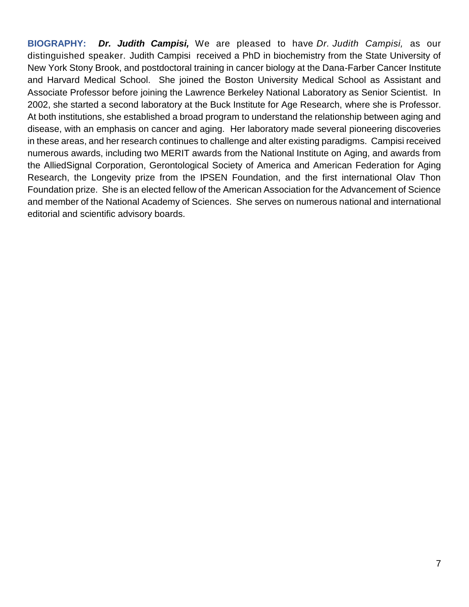**BIOGRAPHY:** *Dr. Judith Campisi,* We are pleased to have *Dr. Judith Campisi,* as our distinguished speaker. Judith Campisi received a PhD in biochemistry from the State University of New York Stony Brook, and postdoctoral training in cancer biology at the Dana-Farber Cancer Institute and Harvard Medical School. She joined the Boston University Medical School as Assistant and Associate Professor before joining the Lawrence Berkeley National Laboratory as Senior Scientist. In 2002, she started a second laboratory at the Buck Institute for Age Research, where she is Professor. At both institutions, she established a broad program to understand the relationship between aging and disease, with an emphasis on cancer and aging. Her laboratory made several pioneering discoveries in these areas, and her research continues to challenge and alter existing paradigms. Campisi received numerous awards, including two MERIT awards from the National Institute on Aging, and awards from the AlliedSignal Corporation, Gerontological Society of America and American Federation for Aging Research, the Longevity prize from the IPSEN Foundation, and the first international Olav Thon Foundation prize. She is an elected fellow of the American Association for the Advancement of Science and member of the National Academy of Sciences. She serves on numerous national and international editorial and scientific advisory boards.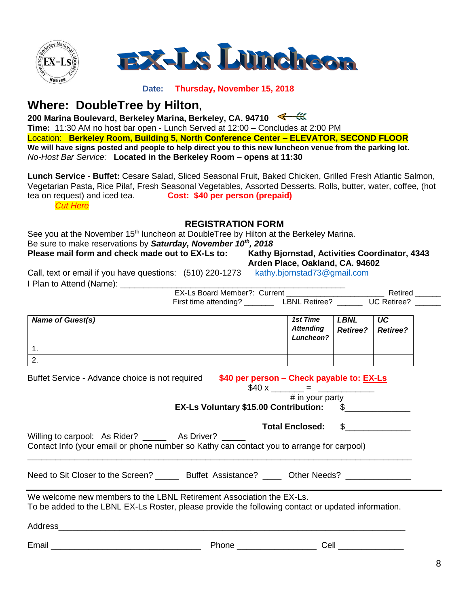

#### **Date: Thursday, November 15, 2018**

# **Where: DoubleTree by Hilton,**

**200 Marina Boulevard, Berkeley Marina, Berkeley, CA. 94710 Time:** 11:30 AM no host bar open - Lunch Served at 12:00 – Concludes at 2:00 PM *Location:* **Berkeley Room, Building 5, North Conference Center – ELEVATOR, SECOND FLOOR We will have signs posted and people to help direct you to this new luncheon venue from the parking lot.**  *No-Host Bar Service:* **Located in the Berkeley Room – opens at 11:30**

**Lunch Service - Buffet:** Cesare Salad, Sliced Seasonal Fruit, Baked Chicken, Grilled Fresh Atlantic Salmon, Vegetarian Pasta, Rice Pilaf, Fresh Seasonal Vegetables, Assorted Desserts. Rolls, butter, water, coffee, (hot tea on request) and iced tea. **Cost: \$40 per person (prepaid)** *Cut Here*

#### **REGISTRATION FORM**

See you at the November 15<sup>th</sup> luncheon at DoubleTree by Hilton at the Berkeley Marina. Be sure to make reservations by *Saturday, November 10th, 2018* **Please mail form and check made out to EX-Ls to: Kathy Bjornstad, Activities Coordinator, 4343** 

**Arden Place, Oakland, CA. 94602** 

Call, text or email if you have questions: (510) 220-1273 [kathy.bjornstad73@gmail.com](mailto:kathy.bjornstad73@gmail.com) I Plan to Attend (Name)<sup>.</sup>

| - -<br>.                |                              |                      | - - - - - | $\sim$ $\sim$ $\sim$ |  |
|-------------------------|------------------------------|----------------------|-----------|----------------------|--|
|                         |                              |                      |           |                      |  |
|                         | First time attending?        | <b>LBNL Retiree?</b> |           | UC Retiree?          |  |
|                         | EX-Ls Board Member?: Current |                      |           | Retired              |  |
| an w Allend (Ivanië). " |                              |                      |           |                      |  |

| <b>Name of Guest(s)</b> | 1st Time         | <b>LBNL</b>     | UC              |
|-------------------------|------------------|-----------------|-----------------|
|                         | <b>Attending</b> | <b>Retiree?</b> | <b>Retiree?</b> |
|                         | Luncheon?        |                 |                 |
| . .                     |                  |                 |                 |
| <u>.</u>                |                  |                 |                 |

| Buffet Service - Advance choice is not required                                                                                                                            | \$40 per person - Check payable to: EX-Ls<br>$$40 x$ = $=$ |                 |  |  |
|----------------------------------------------------------------------------------------------------------------------------------------------------------------------------|------------------------------------------------------------|-----------------|--|--|
|                                                                                                                                                                            |                                                            | # in your party |  |  |
| EX-Ls Voluntary \$15.00 Contribution: \$                                                                                                                                   |                                                            |                 |  |  |
| Total Enclosed: \$<br>Willing to carpool: As Rider? _______ As Driver? _____<br>Contact Info (your email or phone number so Kathy can contact you to arrange for carpool)  |                                                            |                 |  |  |
|                                                                                                                                                                            |                                                            |                 |  |  |
| Need to Sit Closer to the Screen? _______ Buffet Assistance? _____ Other Needs?                                                                                            |                                                            |                 |  |  |
| We welcome new members to the LBNL Retirement Association the EX-Ls.<br>To be added to the LBNL EX-Ls Roster, please provide the following contact or updated information. |                                                            |                 |  |  |
|                                                                                                                                                                            |                                                            |                 |  |  |
|                                                                                                                                                                            |                                                            |                 |  |  |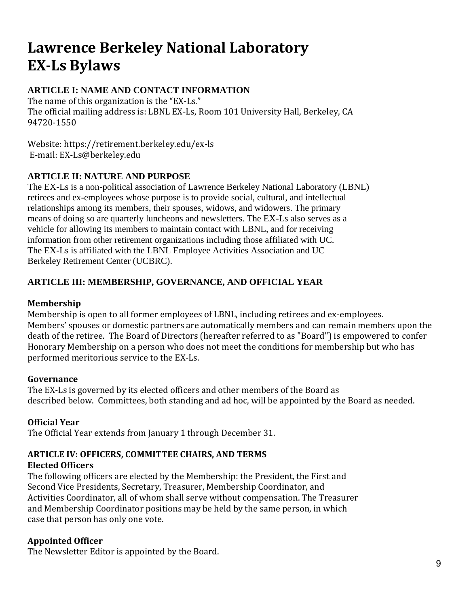# **Lawrence Berkeley National Laboratory EX-Ls Bylaws**

# **ARTICLE I: NAME AND CONTACT INFORMATION**

The name of this organization is the "EX-Ls." The official mailing address is: LBNL EX-Ls, Room 101 University Hall, Berkeley, CA 94720-1550

Website: https://retirement.berkeley.edu/ex-ls E-mail: EX-Ls@berkeley.edu

#### **ARTICLE II: NATURE AND PURPOSE**

The EX-Ls is a non-political association of Lawrence Berkeley National Laboratory (LBNL) retirees and ex-employees whose purpose is to provide social, cultural, and intellectual relationships among its members, their spouses, widows, and widowers. The primary means of doing so are quarterly luncheons and newsletters. The EX-Ls also serves as a vehicle for allowing its members to maintain contact with LBNL, and for receiving information from other retirement organizations including those affiliated with UC. The EX-Ls is affiliated with the LBNL Employee Activities Association and UC Berkeley Retirement Center (UCBRC).

#### **ARTICLE III: MEMBERSHIP, GOVERNANCE, AND OFFICIAL YEAR**

#### **Membership**

Membership is open to all former employees of LBNL, including retirees and ex-employees. Members' spouses or domestic partners are automatically members and can remain members upon the death of the retiree. The Board of Directors (hereafter referred to as "Board") is empowered to confer Honorary Membership on a person who does not meet the conditions for membership but who has performed meritorious service to the EX-Ls.

#### **Governance**

The EX-Ls is governed by its elected officers and other members of the Board as described below. Committees, both standing and ad hoc, will be appointed by the Board as needed.

#### **Official Year**

The Official Year extends from January 1 through December 31.

# **ARTICLE IV: OFFICERS, COMMITTEE CHAIRS, AND TERMS**

#### **Elected Officers**

The following officers are elected by the Membership: the President, the First and Second Vice Presidents, Secretary, Treasurer, Membership Coordinator, and Activities Coordinator, all of whom shall serve without compensation. The Treasurer and Membership Coordinator positions may be held by the same person, in which case that person has only one vote.

#### **Appointed Officer**

The Newsletter Editor is appointed by the Board.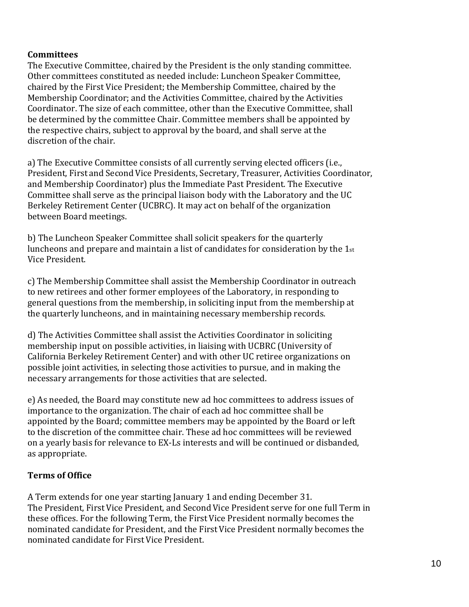#### **Committees**

The Executive Committee, chaired by the President is the only standing committee. Other committees constituted as needed include: Luncheon Speaker Committee, chaired by the First Vice President; the Membership Committee, chaired by the Membership Coordinator; and the Activities Committee, chaired by the Activities Coordinator. The size of each committee, other than the Executive Committee, shall be determined by the committee Chair. Committee members shall be appointed by the respective chairs, subject to approval by the board, and shall serve at the discretion of the chair.

a) The Executive Committee consists of all currently serving elected officers (i.e., President, First and SecondVice Presidents, Secretary, Treasurer, Activities Coordinator, and Membership Coordinator) plus the Immediate Past President. The Executive Committee shall serve as the principal liaison body with the Laboratory and the UC Berkeley Retirement Center (UCBRC). It may act on behalf of the organization between Board meetings.

b) The Luncheon Speaker Committee shall solicit speakers for the quarterly luncheons and prepare and maintain a list of candidates for consideration by the 1st Vice President.

c) The Membership Committee shall assist the Membership Coordinator in outreach to new retirees and other former employees of the Laboratory, in responding to general questions from the membership, in soliciting input from the membership at the quarterly luncheons, and in maintaining necessary membership records.

d) The Activities Committee shall assist the Activities Coordinator in soliciting membership input on possible activities, in liaising with UCBRC (University of California Berkeley Retirement Center) and with other UC retiree organizations on possible joint activities, in selecting those activities to pursue, and in making the necessary arrangements for those activities that are selected.

e) As needed, the Board may constitute new ad hoc committees to address issues of importance to the organization. The chair of each ad hoc committee shall be appointed by the Board; committee members may be appointed by the Board or left to the discretion of the committee chair. These ad hoc committees will be reviewed on a yearly basis for relevance to EX-Ls interests and will be continued or disbanded, as appropriate.

#### **Terms of Office**

A Term extends for one year starting January 1 and ending December 31. The President, First Vice President, and Second Vice President serve for one full Term in these offices. For the following Term, the First Vice President normally becomes the nominated candidate for President, and the First Vice President normally becomes the nominated candidate for First Vice President.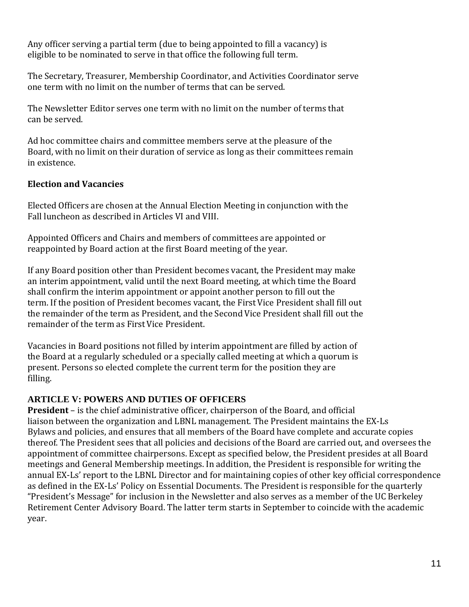Any officer serving a partial term (due to being appointed to fill a vacancy) is eligible to be nominated to serve in that office the following full term.

The Secretary, Treasurer, Membership Coordinator, and Activities Coordinator serve one term with no limit on the number of terms that can be served.

The Newsletter Editor serves one term with no limit on the number of terms that can be served.

Ad hoc committee chairs and committee members serve at the pleasure of the Board, with no limit on their duration of service as long as their committees remain in existence.

#### **Election and Vacancies**

Elected Officers are chosen at the Annual Election Meeting in conjunction with the Fall luncheon as described in Articles VI and VIII.

Appointed Officers and Chairs and members of committees are appointed or reappointed by Board action at the first Board meeting of the year.

If any Board position other than President becomes vacant, the President may make an interim appointment, valid until the next Board meeting, at which time the Board shall confirm the interim appointment or appoint another person to fill out the term. If the position of President becomes vacant, the First Vice President shall fill out the remainder of the term as President, and the Second Vice President shall fill out the remainder of the term as First Vice President.

Vacancies in Board positions not filled by interim appointment are filled by action of the Board at a regularly scheduled or a specially called meeting at which a quorum is present. Persons so elected complete the current term for the position they are filling.

#### **ARTICLE V: POWERS AND DUTIES OF OFFICERS**

**President** – is the chief administrative officer, chairperson of the Board, and official liaison between the organization and LBNL management. The President maintains the EX-Ls Bylaws and policies, and ensures that all members of the Board have complete and accurate copies thereof. The President sees that all policies and decisions of the Board are carried out, and oversees the appointment of committee chairpersons. Except as specified below, the President presides at all Board meetings and General Membership meetings. In addition, the President is responsible for writing the annual EX-Ls' report to the LBNL Director and for maintaining copies of other key official correspondence as defined in the EX-Ls' Policy on Essential Documents. The President is responsible for the quarterly "President's Message" for inclusion in the Newsletter and also serves as a member of the UC Berkeley Retirement Center Advisory Board. The latter term starts in September to coincide with the academic year.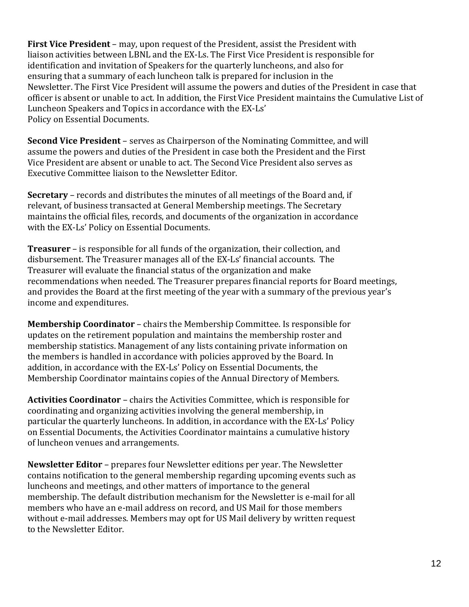**First Vice President** – may, upon request of the President, assist the President with liaison activities between LBNL and the EX-Ls. The First Vice President is responsible for identification and invitation of Speakers for the quarterly luncheons, and also for ensuring that a summary of each luncheon talk is prepared for inclusion in the Newsletter. The First Vice President will assume the powers and duties of the President in case that officer is absent or unable to act. In addition, the First Vice President maintains the Cumulative List of Luncheon Speakers and Topics in accordance with the EX-Ls' Policy on Essential Documents.

**Second Vice President** – serves as Chairperson of the Nominating Committee, and will assume the powers and duties of the President in case both the President and the First Vice President are absent or unable to act. The Second Vice President also serves as Executive Committee liaison to the Newsletter Editor.

**Secretary** – records and distributes the minutes of all meetings of the Board and, if relevant, of business transacted at General Membership meetings. The Secretary maintains the official files, records, and documents of the organization in accordance with the EX-Ls' Policy on Essential Documents.

**Treasurer** – is responsible for all funds of the organization, their collection, and disbursement. The Treasurer manages all of the EX-Ls' financial accounts. The Treasurer will evaluate the financial status of the organization and make recommendations when needed. The Treasurer prepares financial reports for Board meetings, and provides the Board at the first meeting of the year with a summary of the previous year's income and expenditures.

**Membership Coordinator** – chairs the Membership Committee. Is responsible for updates on the retirement population and maintains the membership roster and membership statistics. Management of any lists containing private information on the members is handled in accordance with policies approved by the Board. In addition, in accordance with the EX-Ls' Policy on Essential Documents, the Membership Coordinator maintains copies of the Annual Directory of Members.

**Activities Coordinator** – chairs the Activities Committee, which is responsible for coordinating and organizing activities involving the general membership, in particular the quarterly luncheons. In addition, in accordance with the EX-Ls' Policy on Essential Documents, the Activities Coordinator maintains a cumulative history of luncheon venues and arrangements.

**Newsletter Editor** – prepares four Newsletter editions per year. The Newsletter contains notification to the general membership regarding upcoming events such as luncheons and meetings, and other matters of importance to the general membership. The default distribution mechanism for the Newsletter is e-mail for all members who have an e-mail address on record, and US Mail for those members without e-mail addresses. Members may opt for US Mail delivery by written request to the Newsletter Editor.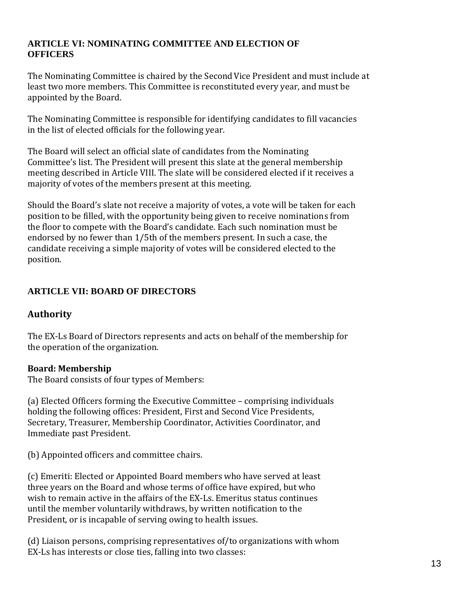#### **ARTICLE VI: NOMINATING COMMITTEE AND ELECTION OF OFFICERS**

The Nominating Committee is chaired by the Second Vice President and must include at least two more members. This Committee is reconstituted every year, and must be appointed by the Board.

The Nominating Committee is responsible for identifying candidates to fill vacancies in the list of elected officials for the following year.

The Board will select an official slate of candidates from the Nominating Committee's list. The President will present this slate at the general membership meeting described in Article VIII. The slate will be considered elected if it receives a majority of votes of the members present at this meeting.

Should the Board's slate not receive a majority of votes, a vote will be taken for each position to be filled, with the opportunity being given to receive nominations from the floor to compete with the Board's candidate. Each such nomination must be endorsed by no fewer than 1/5th of the members present. In such a case, the candidate receiving a simple majority of votes will be considered elected to the position.

# **ARTICLE VII: BOARD OF DIRECTORS**

# **Authority**

The EX-Ls Board of Directors represents and acts on behalf of the membership for the operation of the organization.

#### **Board: Membership**

The Board consists of four types of Members:

(a) Elected Officers forming the Executive Committee – comprising individuals holding the following offices: President, First and Second Vice Presidents, Secretary, Treasurer, Membership Coordinator, Activities Coordinator, and Immediate past President.

(b) Appointed officers and committee chairs.

(c) Emeriti: Elected or Appointed Board members who have served at least three years on the Board and whose terms of office have expired, but who wish to remain active in the affairs of the EX-Ls. Emeritus status continues until the member voluntarily withdraws, by written notification to the President, or is incapable of serving owing to health issues.

(d) Liaison persons, comprising representatives of/to organizations with whom EX-Ls has interests or close ties, falling into two classes: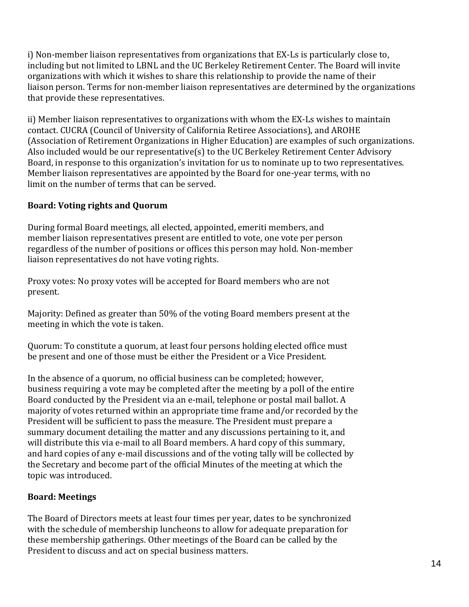i) Non-member liaison representatives from organizations that EX-Ls is particularly close to, including but not limited to LBNL and the UC Berkeley Retirement Center. The Board will invite organizations with which it wishes to share this relationship to provide the name of their liaison person. Terms for non-member liaison representatives are determined by the organizations that provide these representatives.

ii) Member liaison representatives to organizations with whom the EX-Ls wishes to maintain contact. CUCRA (Council of University of California Retiree Associations), and AROHE (Association of Retirement Organizations in Higher Education) are examples of such organizations. Also included would be our representative(s) to the UC Berkeley Retirement Center Advisory Board, in response to this organization's invitation for us to nominate up to two representatives. Member liaison representatives are appointed by the Board for one-year terms, with no limit on the number of terms that can be served.

#### **Board: Voting rights and Quorum**

During formal Board meetings, all elected, appointed, emeriti members, and member liaison representatives present are entitled to vote, one vote per person regardless of the number of positions or offices this person may hold. Non-member liaison representatives do not have voting rights.

Proxy votes: No proxy votes will be accepted for Board members who are not present.

Majority: Defined as greater than 50% of the voting Board members present at the meeting in which the vote is taken.

Quorum: To constitute a quorum, at least four persons holding elected office must be present and one of those must be either the President or a Vice President.

In the absence of a quorum, no official business can be completed; however, business requiring a vote may be completed after the meeting by a poll of the entire Board conducted by the President via an e-mail, telephone or postal mail ballot. A majority of votes returned within an appropriate time frame and/or recorded by the President will be sufficient to pass the measure. The President must prepare a summary document detailing the matter and any discussions pertaining to it, and will distribute this via e-mail to all Board members. A hard copy of this summary, and hard copies of any e-mail discussions and of the voting tally will be collected by the Secretary and become part of the official Minutes of the meeting at which the topic was introduced.

# **Board: Meetings**

The Board of Directors meets at least four times per year, dates to be synchronized with the schedule of membership luncheons to allow for adequate preparation for these membership gatherings. Other meetings of the Board can be called by the President to discuss and act on special business matters.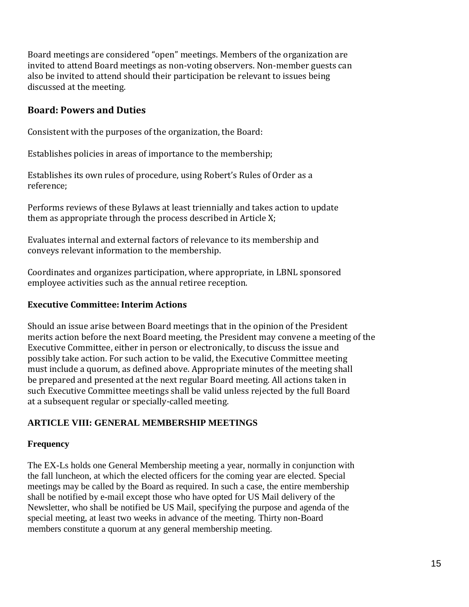Board meetings are considered "open" meetings. Members of the organization are invited to attend Board meetings as non-voting observers. Non-member guests can also be invited to attend should their participation be relevant to issues being discussed at the meeting.

# **Board: Powers and Duties**

Consistent with the purposes of the organization, the Board:

Establishes policies in areas of importance to the membership;

Establishes its own rules of procedure, using Robert's Rules of Order as a reference;

Performs reviews of these Bylaws at least triennially and takes action to update them as appropriate through the process described in Article X;

Evaluates internal and external factors of relevance to its membership and conveys relevant information to the membership.

Coordinates and organizes participation, where appropriate, in LBNL sponsored employee activities such as the annual retiree reception.

#### **Executive Committee: Interim Actions**

Should an issue arise between Board meetings that in the opinion of the President merits action before the next Board meeting, the President may convene a meeting of the Executive Committee, either in person or electronically, to discuss the issue and possibly take action. For such action to be valid, the Executive Committee meeting must include a quorum, as defined above. Appropriate minutes of the meeting shall be prepared and presented at the next regular Board meeting. All actions taken in such Executive Committee meetings shall be valid unless rejected by the full Board at a subsequent regular or specially-called meeting.

#### **ARTICLE VIII: GENERAL MEMBERSHIP MEETINGS**

#### **Frequency**

The EX-Ls holds one General Membership meeting a year, normally in conjunction with the fall luncheon, at which the elected officers for the coming year are elected. Special meetings may be called by the Board as required. In such a case, the entire membership shall be notified by e-mail except those who have opted for US Mail delivery of the Newsletter, who shall be notified be US Mail, specifying the purpose and agenda of the special meeting, at least two weeks in advance of the meeting. Thirty non-Board members constitute a quorum at any general membership meeting.